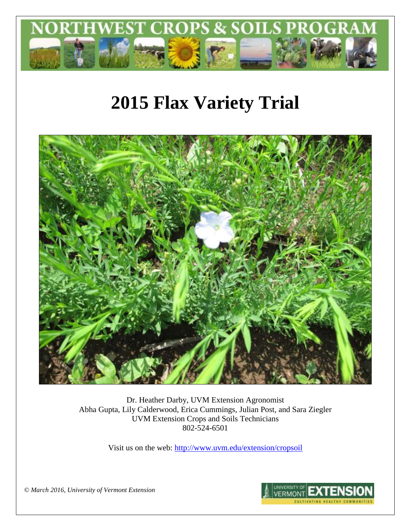

# **2015 Flax Variety Trial**



Dr. Heather Darby, UVM Extension Agronomist Abha Gupta, Lily Calderwood, Erica Cummings, Julian Post, and Sara Ziegler UVM Extension Crops and Soils Technicians 802-524-6501

Visit us on the web: <http://www.uvm.edu/extension/cropsoil>

*© March 2016, University of Vermont Extension*

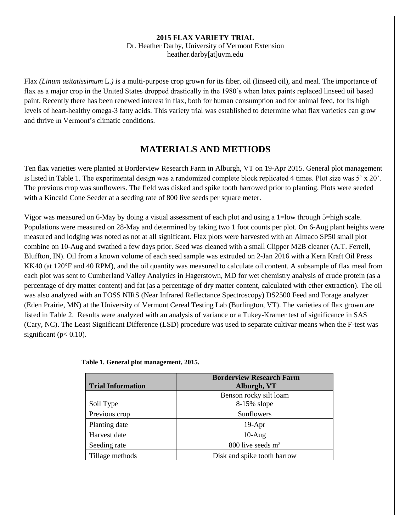#### **2015 FLAX VARIETY TRIAL** Dr. Heather Darby, University of Vermont Extension heather.darby[at]uvm.edu

Flax *(Linum usitatissimum* L.*)* is a multi-purpose crop grown for its fiber, oil (linseed oil), and meal. The importance of flax as a major crop in the United States dropped drastically in the 1980's when latex paints replaced linseed oil based paint. Recently there has been renewed interest in flax, both for human consumption and for animal feed, for its high levels of heart-healthy omega-3 fatty acids. This variety trial was established to determine what flax varieties can grow and thrive in Vermont's climatic conditions.

# **MATERIALS AND METHODS**

Ten flax varieties were planted at Borderview Research Farm in Alburgh, VT on 19-Apr 2015. General plot management is listed in Table 1. The experimental design was a randomized complete block replicated 4 times. Plot size was 5' x 20'. The previous crop was sunflowers. The field was disked and spike tooth harrowed prior to planting. Plots were seeded with a Kincaid Cone Seeder at a seeding rate of 800 live seeds per square meter.

Vigor was measured on 6-May by doing a visual assessment of each plot and using a 1=low through 5=high scale. Populations were measured on 28-May and determined by taking two 1 foot counts per plot. On 6-Aug plant heights were measured and lodging was noted as not at all significant. Flax plots were harvested with an Almaco SP50 small plot combine on 10-Aug and swathed a few days prior. Seed was cleaned with a small Clipper M2B cleaner (A.T. Ferrell, Bluffton, IN). Oil from a known volume of each seed sample was extruded on 2-Jan 2016 with a Kern Kraft Oil Press KK40 (at 120°F and 40 RPM), and the oil quantity was measured to calculate oil content. A subsample of flax meal from each plot was sent to Cumberland Valley Analytics in Hagerstown, MD for wet chemistry analysis of crude protein (as a percentage of dry matter content) and fat (as a percentage of dry matter content, calculated with ether extraction). The oil was also analyzed with an FOSS NIRS (Near Infrared Reflectance Spectroscopy) DS2500 Feed and Forage analyzer (Eden Prairie, MN) at the University of Vermont Cereal Testing Lab (Burlington, VT). The varieties of flax grown are listed in Table 2. Results were analyzed with an analysis of variance or a Tukey-Kramer test of significance in SAS (Cary, NC). The Least Significant Difference (LSD) procedure was used to separate cultivar means when the F-test was significant ( $p < 0.10$ ).

| <b>Trial Information</b> | <b>Borderview Research Farm</b><br>Alburgh, VT |
|--------------------------|------------------------------------------------|
|                          | Benson rocky silt loam                         |
| Soil Type                | 8-15% slope                                    |
| Previous crop            | Sunflowers                                     |
| Planting date            | $19-Apr$                                       |
| Harvest date             | $10-Aug$                                       |
| Seeding rate             | 800 live seeds $m2$                            |
| Tillage methods          | Disk and spike tooth harrow                    |

**Table 1. General plot management, 2015.**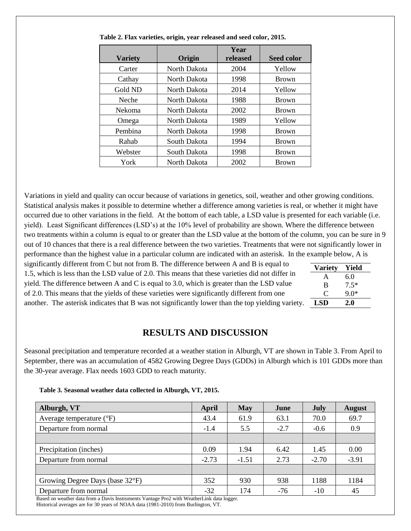| <b>Variety</b> | Origin       | Year<br>released | <b>Seed color</b> |
|----------------|--------------|------------------|-------------------|
| Carter         | North Dakota | 2004             | Yellow            |
| Cathay         | North Dakota | 1998             | <b>Brown</b>      |
| Gold ND        | North Dakota | 2014             | Yellow            |
| Neche          | North Dakota | 1988             | <b>Brown</b>      |
| <b>Nekoma</b>  | North Dakota | 2002             | <b>Brown</b>      |
| Omega          | North Dakota | 1989             | Yellow            |
| Pembina        | North Dakota | 1998             | <b>Brown</b>      |
| Rahab          | South Dakota | 1994             | <b>Brown</b>      |
| Webster        | South Dakota | 1998             | <b>Brown</b>      |
| York           | North Dakota | 2002             | <b>Brown</b>      |

**Table 2. Flax varieties, origin, year released and seed color, 2015.** 

Variations in yield and quality can occur because of variations in genetics, soil, weather and other growing conditions. Statistical analysis makes it possible to determine whether a difference among varieties is real, or whether it might have occurred due to other variations in the field. At the bottom of each table, a LSD value is presented for each variable (i.e. yield). Least Significant differences (LSD's) at the 10% level of probability are shown. Where the difference between two treatments within a column is equal to or greater than the LSD value at the bottom of the column, you can be sure in 9 out of 10 chances that there is a real difference between the two varieties. Treatments that were not significantly lower in performance than the highest value in a particular column are indicated with an asterisk. In the example below, A is

significantly different from C but not from B. The difference between A and B is equal to 1.5, which is less than the LSD value of 2.0. This means that these varieties did not differ in yield. The difference between A and C is equal to 3.0, which is greater than the LSD value of 2.0. This means that the yields of these varieties were significantly different from one another. The asterisk indicates that B was not significantly lower than the top yielding variety.

| <b>Variety</b> | Yield      |
|----------------|------------|
| A              | 6.0        |
| B              | $7.5*$     |
| O              | $9.0*$     |
| LSD            | <b>2.0</b> |

## **RESULTS AND DISCUSSION**

Seasonal precipitation and temperature recorded at a weather station in Alburgh, VT are shown in Table 3. From April to September, there was an accumulation of 4582 Growing Degree Days (GDDs) in Alburgh which is 101 GDDs more than the 30-year average. Flax needs 1603 GDD to reach maturity.

| Table 3. Seasonal weather data collected in Alburgh, VT, 2015. |  |  |  |
|----------------------------------------------------------------|--|--|--|
|----------------------------------------------------------------|--|--|--|

| Alburgh, VT                                                                               | April   | <b>May</b> | June   | July    | <b>August</b> |  |  |
|-------------------------------------------------------------------------------------------|---------|------------|--------|---------|---------------|--|--|
| Average temperature $(^{\circ}F)$                                                         | 43.4    | 61.9       | 63.1   | 70.0    | 69.7          |  |  |
| Departure from normal                                                                     | $-1.4$  | 5.5        | $-2.7$ | $-0.6$  | 0.9           |  |  |
|                                                                                           |         |            |        |         |               |  |  |
| Precipitation (inches)                                                                    | 0.09    | 1.94       | 6.42   | 1.45    | 0.00          |  |  |
| Departure from normal                                                                     | $-2.73$ | $-1.51$    | 2.73   | $-2.70$ | $-3.91$       |  |  |
|                                                                                           |         |            |        |         |               |  |  |
| Growing Degree Days (base 32°F)                                                           | 352     | 930        | 938    | 1188    | 1184          |  |  |
| Departure from normal                                                                     | $-32$   | 174        | $-76$  | $-10$   | 45            |  |  |
| Based on weather data from a Davis Instruments Vantage Pro2 with WeatherLink data logger. |         |            |        |         |               |  |  |

Historical averages are for 30 years of NOAA data (1981-2010) from Burlington, VT.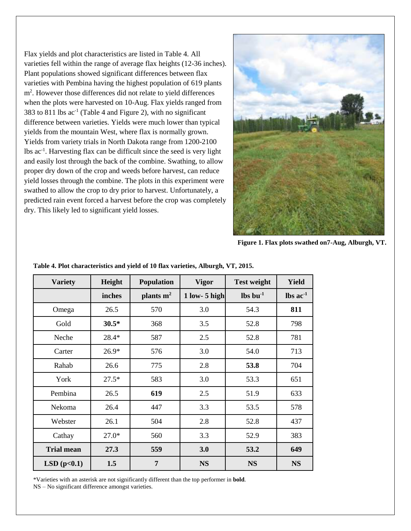Flax yields and plot characteristics are listed in Table 4. All varieties fell within the range of average flax heights (12-36 inches). Plant populations showed significant differences between flax varieties with Pembina having the highest population of 619 plants m<sup>2</sup> . However those differences did not relate to yield differences when the plots were harvested on 10-Aug. Flax yields ranged from 383 to 811 lbs  $ac^{-1}$  (Table 4 and Figure 2), with no significant difference between varieties. Yields were much lower than typical yields from the mountain West, where flax is normally grown. Yields from variety trials in North Dakota range from 1200-2100 lbs ac-1 . Harvesting flax can be difficult since the seed is very light and easily lost through the back of the combine. Swathing, to allow proper dry down of the crop and weeds before harvest, can reduce yield losses through the combine. The plots in this experiment were swathed to allow the crop to dry prior to harvest. Unfortunately, a predicted rain event forced a harvest before the crop was completely dry. This likely led to significant yield losses.



**Figure 1. Flax plots swathed on7-Aug, Alburgh, VT.**

| <b>Variety</b>    | Height  | <b>Population</b> | <b>Vigor</b>    | <b>Test weight</b>               | Yield                         |
|-------------------|---------|-------------------|-----------------|----------------------------------|-------------------------------|
|                   | inches  | plants $m2$       | $1$ low- 5 high | $\mathbf{lbs}\,\mathbf{bu}^{-1}$ | $\text{lbs}$ ac <sup>-1</sup> |
| Omega             | 26.5    | 570               | 3.0             | 54.3                             | 811                           |
| Gold              | $30.5*$ | 368               | 3.5             | 52.8                             | 798                           |
| Neche             | 28.4*   | 587               | 2.5             | 52.8                             | 781                           |
| Carter            | $26.9*$ | 576               | 3.0             | 54.0                             | 713                           |
| Rahab             | 26.6    | 775               | 2.8             | 53.8                             | 704                           |
| York              | $27.5*$ | 583               | 3.0             | 53.3                             | 651                           |
| Pembina           | 26.5    | 619               | 2.5             | 51.9                             | 633                           |
| Nekoma            | 26.4    | 447               | 3.3             | 53.5                             | 578                           |
| Webster           | 26.1    | 504               | 2.8             | 52.8                             | 437                           |
| Cathay            | $27.0*$ | 560               | 3.3             | 52.9                             | 383                           |
| <b>Trial mean</b> | 27.3    | 559               | 3.0             | 53.2                             | 649                           |
| LSD(p<0.1)        | 1.5     | 7                 | <b>NS</b>       | <b>NS</b>                        | <b>NS</b>                     |

**Table 4. Plot characteristics and yield of 10 flax varieties, Alburgh, VT, 2015.** 

\*Varieties with an asterisk are not significantly different than the top performer in **bold**. NS – No significant difference amongst varieties.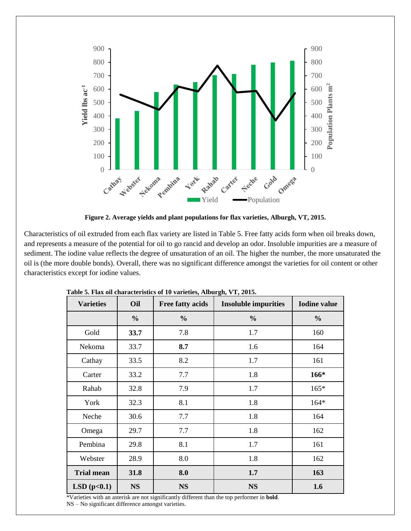

**Figure 2. Average yields and plant populations for flax varieties, Alburgh, VT, 2015.**

Characteristics of oil extruded from each flax variety are listed in Table 5. Free fatty acids form when oil breaks down, and represents a measure of the potential for oil to go rancid and develop an odor. Insoluble impurities are a measure of sediment. The iodine value reflects the degree of unsaturation of an oil. The higher the number, the more unsaturated the oil is (the more double bonds). Overall, there was no significant difference amongst the varieties for oil content or other characteristics except for iodine values.

| <b>Varieties</b>  | Oil           | <b>Free fatty acids</b> | <b>Insoluble impurities</b> | <b>Iodine</b> value |
|-------------------|---------------|-------------------------|-----------------------------|---------------------|
|                   | $\frac{0}{0}$ | $\frac{0}{0}$           | $\frac{0}{0}$               | $\frac{0}{0}$       |
| Gold              | 33.7          | 7.8                     | 1.7                         | 160                 |
| Nekoma            | 33.7          | 8.7                     | 1.6                         | 164                 |
| Cathay            | 33.5          | 8.2                     | 1.7                         | 161                 |
| Carter            | 33.2          | 7.7                     | 1.8                         | 166*                |
| Rahab             | 32.8          | 7.9                     | 1.7                         | $165*$              |
| York              | 32.3          | 8.1                     | 1.8                         | $164*$              |
| Neche             | 30.6          | 7.7                     | 1.8                         | 164                 |
| Omega             | 29.7          | 7.7                     | 1.8                         | 162                 |
| Pembina           | 29.8          | 8.1                     | 1.7                         | 161                 |
| Webster           | 28.9          | 8.0                     | 1.8                         | 162                 |
| <b>Trial mean</b> | 31.8          | 8.0                     | 1.7                         | 163                 |
| LSD(p<0.1)        | <b>NS</b>     | <b>NS</b>               | <b>NS</b>                   | 1.6                 |

|  | Table 5. Flax oil characteristics of 10 varieties, Alburgh, VT, 2015. |  |  |  |
|--|-----------------------------------------------------------------------|--|--|--|
|  |                                                                       |  |  |  |

\*Varieties with an asterisk are not significantly different than the top performer in **bold**. NS – No significant difference amongst varieties.